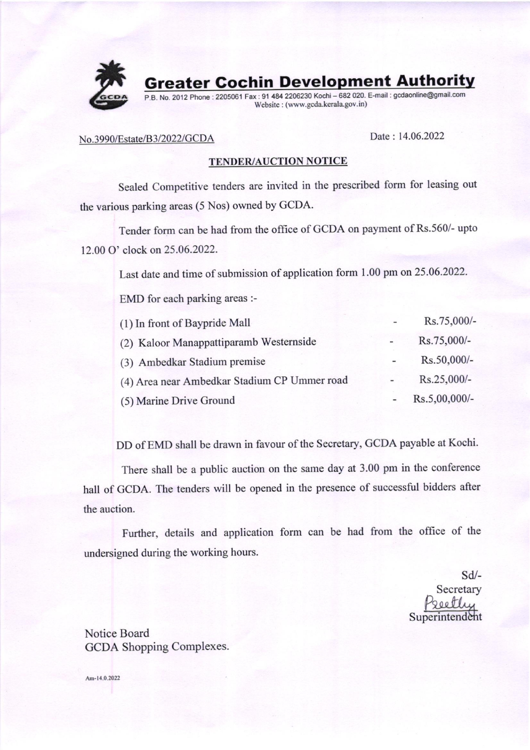

## No.3990/Estate/B3/2022/GCDA Date : 14.06.2022

## TENDER/AUCTION NOTICE

Sealed competitive tenders are invited in the prescribed form for leasing out the various parking areas (5 Nos) owned by GCDA.

Tender form can be had from the office of GCDA on payment of Rs.560/- upto 12.00 O' clock on 25.06.2022.

Last date and time of submission of application form 1.00 pm on 25.06.2022.

EMD for each parking areas :-

| (1) In front of Baypride Mall                |                          | Rs.75,000/-   |
|----------------------------------------------|--------------------------|---------------|
| (2) Kaloor Manappattiparamb Westernside      | $\overline{\phantom{a}}$ | Rs.75,000/-   |
| (3) Ambedkar Stadium premise                 |                          | Rs.50,000/-   |
| (4) Area near Ambedkar Stadium CP Ummer road |                          | Rs.25,000/-   |
| (5) Marine Drive Ground                      |                          | Rs.5,00,000/- |

DD of EMD shall be drawn in favour of the Secretary, GCDA payable at Kochi.

There shall be a public auction on the same day at 3.00 pm in the conference hall of GCDA. The tenders will be opened in the presence of successful bidders after the auction.

Further, details and application form can be had from the office of the undersigned during the working hours.

sd/- Secretary Superintendent

Notice Board GCDA Shopping Complexes.

Am-14.0.2022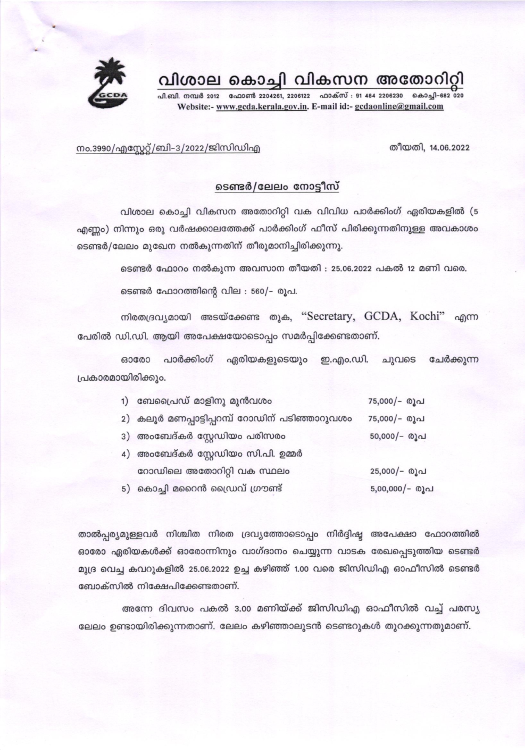



പി.ബി. നമ്പർ 2012 ഫോൺ 2204261, 2206122 ഫാക്സ് : 91 484 2206230 കൊച്ചി-682 020 Website:- www.gcda.kerala.gov.in. E-mail id:- gcdaonline@gmail.com

തീയതി, 14.06.2022

നം.3990/എസ്റ്റേറ്റ്/ബി-3/2022/ജിസിഡിഎ

## ടെണ്ടർ/ലേലം നോട്ടീസ്

വിശാല കൊച്ചി വികസന അതോറിറ്റി വക വിവിധ പാർക്കിംഗ് ഏരിയകളിൽ (5 എണ്ണം) നിന്നും ഒരു വർഷക്കാലത്തേക്ക് പാർക്കിംഗ് ഫീസ് പിരിക്കുന്നതിനുള്ള അവകാശം ടെണ്ടർ/ലേലം മുഖേന നൽകുന്നതിന് തീരുമാനിച്ചിരിക്കുന്നു.

ടെണ്ടർ ഫോറം നൽകുന്ന അവസാന തീയതി : 25.06.2022 പകൽ 12 മണി വരെ.

ടെണ്ടർ ഫോറത്തിന്റെ വില : 560/- രൂപ.

നിരതദ്രവ്യമായി അടയ്ക്കേണ്ട തുക, "Secretary, GCDA, Kochi" എന്ന പേരിൽ ഡി.ഡി. ആയി അപേക്ഷയോടൊപ്പം സമർപ്പിക്കേണ്ടതാണ്.

ഏരിയകളുടെയും ഇ.എം.ഡി. ചുവടെ ചേർക്കുന്ന 630000 പാർക്കിംഗ് പ്രകാരമായിരിക്കും.

| 1) ബേപ്രൈഡ് മാളിനു മുൻവശം                      | 75,000/- രൂപ     |
|------------------------------------------------|------------------|
| 2) കലൂർ മണപ്പാട്ടിപ്പറമ്പ് റോഡിന് പടിഞ്ഞാറുവശം | 75,000/- രൂപ     |
| 3) അംബേദ്കർ സ്റ്റേഡിയം പരിസരം                  | 50,000/- രൂപ     |
| 4) അംബേദ്കർ സ്റ്റേഡിയം സി.പി. ഉമ്മർ            |                  |
| റോഡിലെ അതോറിറ്റി വക സ്ഥലം                      | 25,000/- രൂപ     |
| 5) കൊച്ചി മറൈൻ ഡ്രൈവ് ഗ്രൗണ്ട്                 | $5,00,000/-$ രൂപ |

താൽപ്പര്യമുള്ളവർ നിശ്ചിത നിരത ദ്രവ്യത്തോടൊപ്പം നിർദ്ദിഷ്ട അപേക്ഷാ ഫോറത്തിൽ ഓരോ ഏരിയകൾക്ക് ഓരോന്നിനും വാഗ്ദാനം ചെയ്യുന്ന വാടക രേഖപ്പെടുത്തിയ ടെണ്ടർ മുദ്ര വെച്ച കവറുകളിൽ 25.06.2022 ഉച്ച കഴിഞ്ഞ് 1.00 വരെ ജിസിഡിഎ ഓഫീസിൽ ടെണ്ടർ ബോക്സിൽ നിക്ഷേപിക്കേണ്ടതാണ്.

അന്നേ ദിവസം പകൽ 3.00 മണിയ്ക്ക് ജിസിഡിഎ ഓഫീസിൽ വച്ച് പരസ്യ ലേലം ഉണ്ടായിരിക്കുന്നതാണ്. ലേലം കഴിഞ്ഞാലുടൻ ടെണ്ടറുകൾ തുറക്കുന്നതുമാണ്.